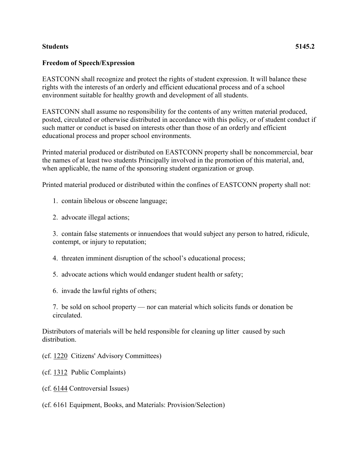## **Students 5145.2**

## **Freedom of Speech/Expression**

EASTCONN shall recognize and protect the rights of student expression. It will balance these rights with the interests of an orderly and efficient educational process and of a school environment suitable for healthy growth and development of all students.

EASTCONN shall assume no responsibility for the contents of any written material produced, posted, circulated or otherwise distributed in accordance with this policy, or of student conduct if such matter or conduct is based on interests other than those of an orderly and efficient educational process and proper school environments.

Printed material produced or distributed on EASTCONN property shall be noncommercial, bear the names of at least two students Principally involved in the promotion of this material, and, when applicable, the name of the sponsoring student organization or group.

Printed material produced or distributed within the confines of EASTCONN property shall not:

- 1. contain libelous or obscene language;
- 2. advocate illegal actions;

3. contain false statements or innuendoes that would subject any person to hatred, ridicule, contempt, or injury to reputation;

- 4. threaten imminent disruption of the school's educational process;
- 5. advocate actions which would endanger student health or safety;
- 6. invade the lawful rights of others;

7. be sold on school property — nor can material which solicits funds or donation be circulated.

Distributors of materials will be held responsible for cleaning up litter caused by such distribution.

(cf. [1220](http://z2policy.cabe.org/cabe/DocViewer.jsp?docid=34&z2collection=core#JD_1220) Citizens' Advisory Committees)

- (cf. [1312](http://z2policy.cabe.org/cabe/DocViewer.jsp?docid=42&z2collection=core#JD_1312) Public Complaints)
- (cf. [6144](http://z2policy.cabe.org/cabe/DocViewer.jsp?docid=392&z2collection=core#JD_6144) Controversial Issues)
- (cf. 6161 Equipment, Books, and Materials: Provision/Selection)